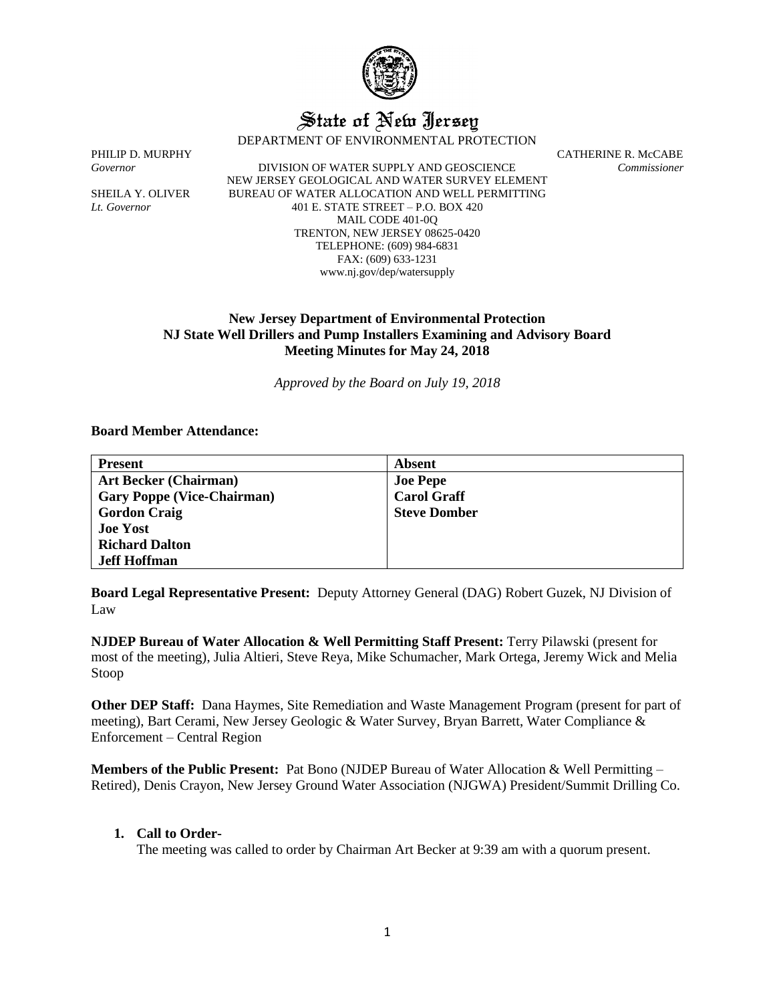

# State of New Jersey

DEPARTMENT OF ENVIRONMENTAL PROTECTION

*Governor* DIVISION OF WATER SUPPLY AND GEOSCIENCE *Commissioner* NEW JERSEY GEOLOGICAL AND WATER SURVEY ELEMENT SHEILA Y. OLIVER BUREAU OF WATER ALLOCATION AND WELL PERMITTING *Lt. Governor* 401 E. STATE STREET – P.O. BOX 420 MAIL CODE 401-0Q TRENTON, NEW JERSEY 08625-0420 TELEPHONE: (609) 984-6831 FAX: (609) 633-1231 www.nj.gov/dep/watersupply

PHILIP D. MURPHY CATHERINE R. McCABE

# **New Jersey Department of Environmental Protection NJ State Well Drillers and Pump Installers Examining and Advisory Board Meeting Minutes for May 24, 2018**

*Approved by the Board on July 19, 2018*

# **Board Member Attendance:**

| <b>Present</b>                    | Absent              |
|-----------------------------------|---------------------|
| <b>Art Becker (Chairman)</b>      | <b>Joe Pepe</b>     |
| <b>Gary Poppe (Vice-Chairman)</b> | <b>Carol Graff</b>  |
| <b>Gordon Craig</b>               | <b>Steve Domber</b> |
| <b>Joe Yost</b>                   |                     |
| <b>Richard Dalton</b>             |                     |
| <b>Jeff Hoffman</b>               |                     |

**Board Legal Representative Present:** Deputy Attorney General (DAG) Robert Guzek, NJ Division of Law

**NJDEP Bureau of Water Allocation & Well Permitting Staff Present:** Terry Pilawski (present for most of the meeting), Julia Altieri, Steve Reya, Mike Schumacher, Mark Ortega, Jeremy Wick and Melia Stoop

**Other DEP Staff:** Dana Haymes, Site Remediation and Waste Management Program (present for part of meeting), Bart Cerami, New Jersey Geologic & Water Survey, Bryan Barrett, Water Compliance & Enforcement – Central Region

**Members of the Public Present:** Pat Bono (NJDEP Bureau of Water Allocation & Well Permitting – Retired), Denis Crayon, New Jersey Ground Water Association (NJGWA) President/Summit Drilling Co.

### **1. Call to Order-**

The meeting was called to order by Chairman Art Becker at 9:39 am with a quorum present.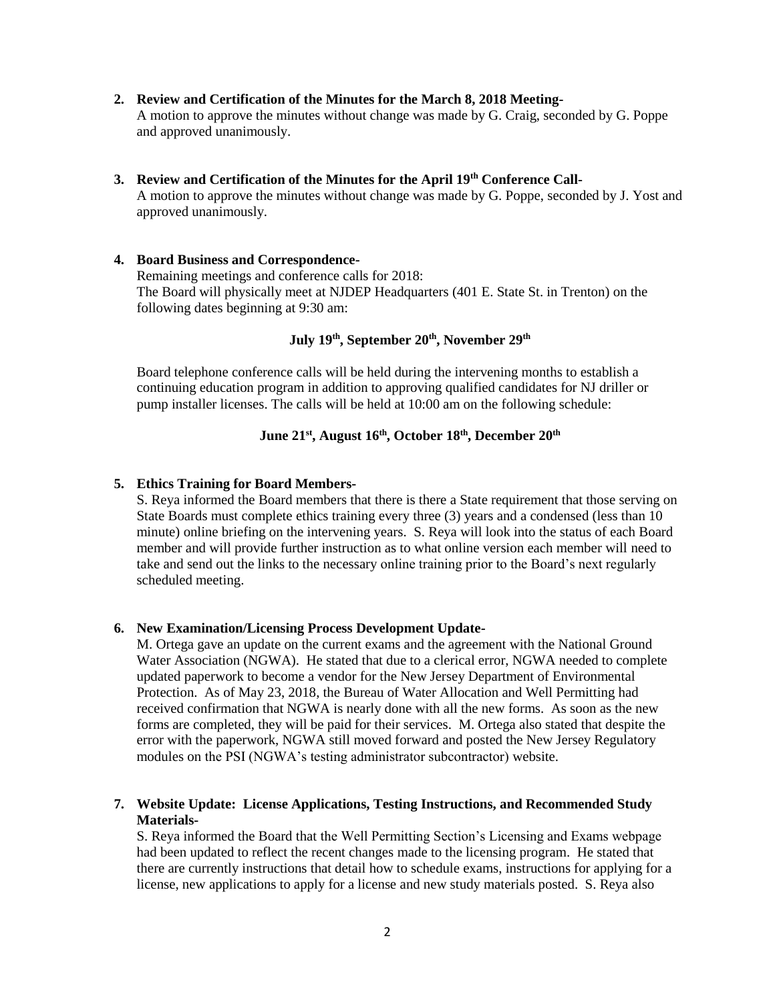#### **2. Review and Certification of the Minutes for the March 8, 2018 Meeting-**

A motion to approve the minutes without change was made by G. Craig, seconded by G. Poppe and approved unanimously.

#### **3. Review and Certification of the Minutes for the April 19th Conference Call-**

A motion to approve the minutes without change was made by G. Poppe, seconded by J. Yost and approved unanimously.

## **4. Board Business and Correspondence-**

Remaining meetings and conference calls for 2018: The Board will physically meet at NJDEP Headquarters (401 E. State St. in Trenton) on the following dates beginning at 9:30 am:

# **July 19th, September 20th, November 29th**

Board telephone conference calls will be held during the intervening months to establish a continuing education program in addition to approving qualified candidates for NJ driller or pump installer licenses. The calls will be held at 10:00 am on the following schedule:

# **June 21st, August 16th, October 18th, December 20th**

#### **5. Ethics Training for Board Members-**

S. Reya informed the Board members that there is there a State requirement that those serving on State Boards must complete ethics training every three (3) years and a condensed (less than 10 minute) online briefing on the intervening years. S. Reya will look into the status of each Board member and will provide further instruction as to what online version each member will need to take and send out the links to the necessary online training prior to the Board's next regularly scheduled meeting.

#### **6. New Examination/Licensing Process Development Update-**

M. Ortega gave an update on the current exams and the agreement with the National Ground Water Association (NGWA). He stated that due to a clerical error, NGWA needed to complete updated paperwork to become a vendor for the New Jersey Department of Environmental Protection. As of May 23, 2018, the Bureau of Water Allocation and Well Permitting had received confirmation that NGWA is nearly done with all the new forms. As soon as the new forms are completed, they will be paid for their services. M. Ortega also stated that despite the error with the paperwork, NGWA still moved forward and posted the New Jersey Regulatory modules on the PSI (NGWA's testing administrator subcontractor) website.

# **7. Website Update: License Applications, Testing Instructions, and Recommended Study Materials-**

S. Reya informed the Board that the Well Permitting Section's Licensing and Exams webpage had been updated to reflect the recent changes made to the licensing program. He stated that there are currently instructions that detail how to schedule exams, instructions for applying for a license, new applications to apply for a license and new study materials posted. S. Reya also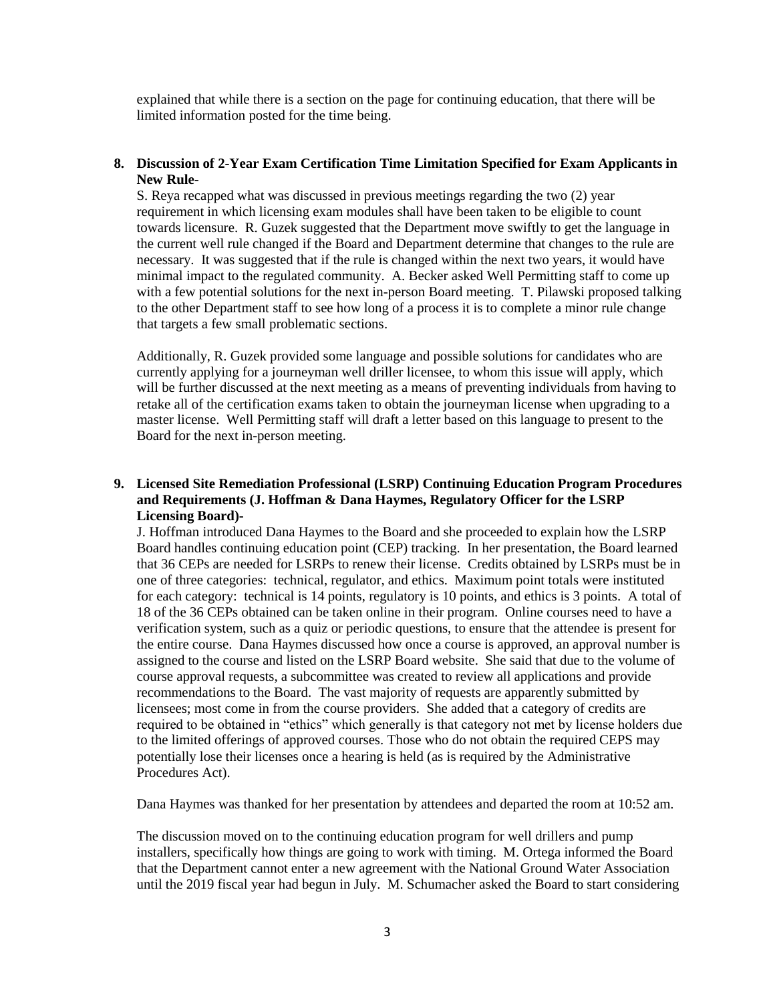explained that while there is a section on the page for continuing education, that there will be limited information posted for the time being.

## **8. Discussion of 2-Year Exam Certification Time Limitation Specified for Exam Applicants in New Rule-**

S. Reya recapped what was discussed in previous meetings regarding the two (2) year requirement in which licensing exam modules shall have been taken to be eligible to count towards licensure. R. Guzek suggested that the Department move swiftly to get the language in the current well rule changed if the Board and Department determine that changes to the rule are necessary. It was suggested that if the rule is changed within the next two years, it would have minimal impact to the regulated community. A. Becker asked Well Permitting staff to come up with a few potential solutions for the next in-person Board meeting. T. Pilawski proposed talking to the other Department staff to see how long of a process it is to complete a minor rule change that targets a few small problematic sections.

Additionally, R. Guzek provided some language and possible solutions for candidates who are currently applying for a journeyman well driller licensee, to whom this issue will apply, which will be further discussed at the next meeting as a means of preventing individuals from having to retake all of the certification exams taken to obtain the journeyman license when upgrading to a master license. Well Permitting staff will draft a letter based on this language to present to the Board for the next in-person meeting.

# **9. Licensed Site Remediation Professional (LSRP) Continuing Education Program Procedures and Requirements (J. Hoffman & Dana Haymes, Regulatory Officer for the LSRP Licensing Board)-**

J. Hoffman introduced Dana Haymes to the Board and she proceeded to explain how the LSRP Board handles continuing education point (CEP) tracking. In her presentation, the Board learned that 36 CEPs are needed for LSRPs to renew their license. Credits obtained by LSRPs must be in one of three categories: technical, regulator, and ethics. Maximum point totals were instituted for each category: technical is 14 points, regulatory is 10 points, and ethics is 3 points. A total of 18 of the 36 CEPs obtained can be taken online in their program. Online courses need to have a verification system, such as a quiz or periodic questions, to ensure that the attendee is present for the entire course. Dana Haymes discussed how once a course is approved, an approval number is assigned to the course and listed on the LSRP Board website. She said that due to the volume of course approval requests, a subcommittee was created to review all applications and provide recommendations to the Board. The vast majority of requests are apparently submitted by licensees; most come in from the course providers. She added that a category of credits are required to be obtained in "ethics" which generally is that category not met by license holders due to the limited offerings of approved courses. Those who do not obtain the required CEPS may potentially lose their licenses once a hearing is held (as is required by the Administrative Procedures Act).

Dana Haymes was thanked for her presentation by attendees and departed the room at 10:52 am.

The discussion moved on to the continuing education program for well drillers and pump installers, specifically how things are going to work with timing. M. Ortega informed the Board that the Department cannot enter a new agreement with the National Ground Water Association until the 2019 fiscal year had begun in July. M. Schumacher asked the Board to start considering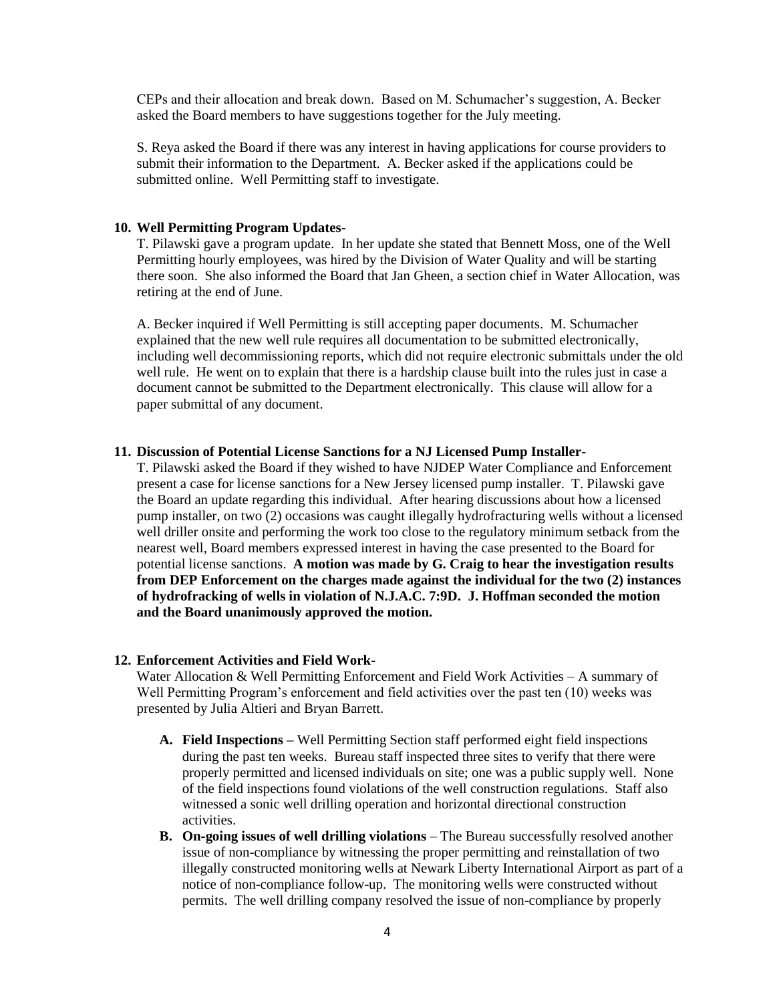CEPs and their allocation and break down. Based on M. Schumacher's suggestion, A. Becker asked the Board members to have suggestions together for the July meeting.

S. Reya asked the Board if there was any interest in having applications for course providers to submit their information to the Department. A. Becker asked if the applications could be submitted online. Well Permitting staff to investigate.

#### **10. Well Permitting Program Updates-**

T. Pilawski gave a program update. In her update she stated that Bennett Moss, one of the Well Permitting hourly employees, was hired by the Division of Water Quality and will be starting there soon. She also informed the Board that Jan Gheen, a section chief in Water Allocation, was retiring at the end of June.

A. Becker inquired if Well Permitting is still accepting paper documents. M. Schumacher explained that the new well rule requires all documentation to be submitted electronically, including well decommissioning reports, which did not require electronic submittals under the old well rule. He went on to explain that there is a hardship clause built into the rules just in case a document cannot be submitted to the Department electronically. This clause will allow for a paper submittal of any document.

## **11. Discussion of Potential License Sanctions for a NJ Licensed Pump Installer-**

T. Pilawski asked the Board if they wished to have NJDEP Water Compliance and Enforcement present a case for license sanctions for a New Jersey licensed pump installer. T. Pilawski gave the Board an update regarding this individual. After hearing discussions about how a licensed pump installer, on two (2) occasions was caught illegally hydrofracturing wells without a licensed well driller onsite and performing the work too close to the regulatory minimum setback from the nearest well, Board members expressed interest in having the case presented to the Board for potential license sanctions. **A motion was made by G. Craig to hear the investigation results from DEP Enforcement on the charges made against the individual for the two (2) instances of hydrofracking of wells in violation of N.J.A.C. 7:9D. J. Hoffman seconded the motion and the Board unanimously approved the motion.** 

#### **12. Enforcement Activities and Field Work-**

Water Allocation  $&$  Well Permitting Enforcement and Field Work Activities  $-$  A summary of Well Permitting Program's enforcement and field activities over the past ten (10) weeks was presented by Julia Altieri and Bryan Barrett.

- **A. Field Inspections –** Well Permitting Section staff performed eight field inspections during the past ten weeks. Bureau staff inspected three sites to verify that there were properly permitted and licensed individuals on site; one was a public supply well. None of the field inspections found violations of the well construction regulations. Staff also witnessed a sonic well drilling operation and horizontal directional construction activities.
- **B. On-going issues of well drilling violations** The Bureau successfully resolved another issue of non-compliance by witnessing the proper permitting and reinstallation of two illegally constructed monitoring wells at Newark Liberty International Airport as part of a notice of non-compliance follow-up. The monitoring wells were constructed without permits. The well drilling company resolved the issue of non-compliance by properly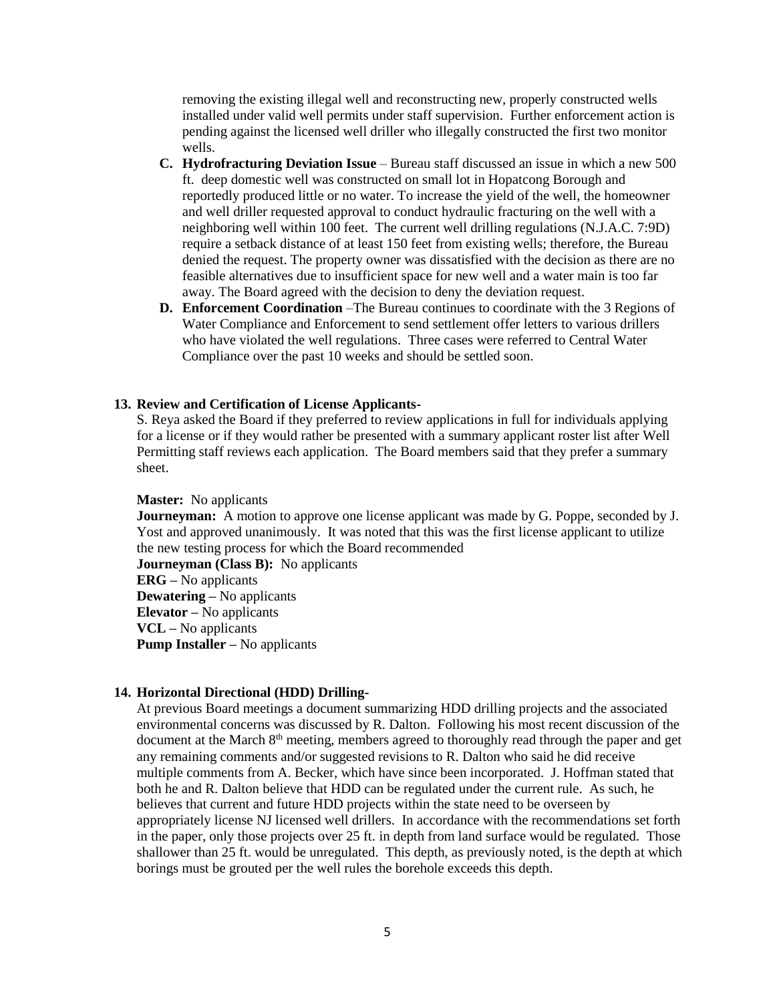removing the existing illegal well and reconstructing new, properly constructed wells installed under valid well permits under staff supervision. Further enforcement action is pending against the licensed well driller who illegally constructed the first two monitor wells.

- **C. Hydrofracturing Deviation Issue** Bureau staff discussed an issue in which a new 500 ft. deep domestic well was constructed on small lot in Hopatcong Borough and reportedly produced little or no water. To increase the yield of the well, the homeowner and well driller requested approval to conduct hydraulic fracturing on the well with a neighboring well within 100 feet. The current well drilling regulations (N.J.A.C. 7:9D) require a setback distance of at least 150 feet from existing wells; therefore, the Bureau denied the request. The property owner was dissatisfied with the decision as there are no feasible alternatives due to insufficient space for new well and a water main is too far away. The Board agreed with the decision to deny the deviation request.
- **D. Enforcement Coordination** –The Bureau continues to coordinate with the 3 Regions of Water Compliance and Enforcement to send settlement offer letters to various drillers who have violated the well regulations. Three cases were referred to Central Water Compliance over the past 10 weeks and should be settled soon.

#### **13. Review and Certification of License Applicants-**

S. Reya asked the Board if they preferred to review applications in full for individuals applying for a license or if they would rather be presented with a summary applicant roster list after Well Permitting staff reviews each application. The Board members said that they prefer a summary sheet.

#### **Master:** No applicants

**Journeyman:** A motion to approve one license applicant was made by G. Poppe, seconded by J. Yost and approved unanimously. It was noted that this was the first license applicant to utilize the new testing process for which the Board recommended **Journeyman (Class B):** No applicants **ERG –** No applicants **Dewatering –** No applicants **Elevator –** No applicants **VCL –** No applicants **Pump Installer** – No applicants

#### **14. Horizontal Directional (HDD) Drilling-**

At previous Board meetings a document summarizing HDD drilling projects and the associated environmental concerns was discussed by R. Dalton. Following his most recent discussion of the document at the March  $8<sup>th</sup>$  meeting, members agreed to thoroughly read through the paper and get any remaining comments and/or suggested revisions to R. Dalton who said he did receive multiple comments from A. Becker, which have since been incorporated. J. Hoffman stated that both he and R. Dalton believe that HDD can be regulated under the current rule. As such, he believes that current and future HDD projects within the state need to be overseen by appropriately license NJ licensed well drillers. In accordance with the recommendations set forth in the paper, only those projects over 25 ft. in depth from land surface would be regulated. Those shallower than 25 ft. would be unregulated. This depth, as previously noted, is the depth at which borings must be grouted per the well rules the borehole exceeds this depth.